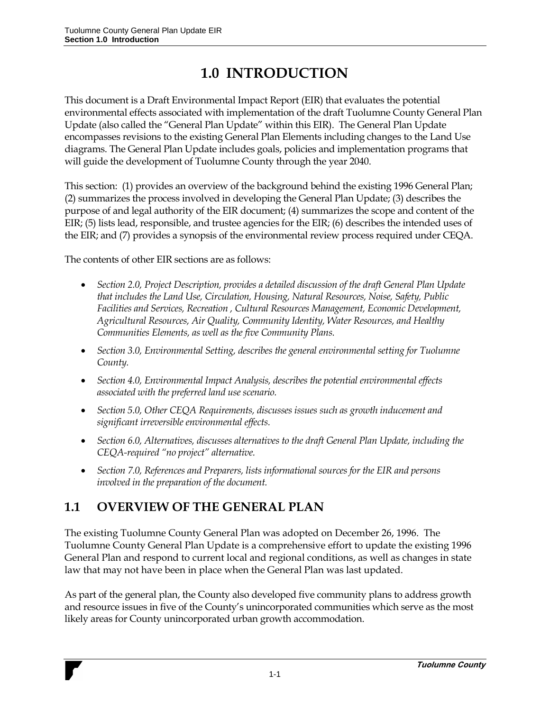# **1.0 INTRODUCTION**

This document is a Draft Environmental Impact Report (EIR) that evaluates the potential environmental effects associated with implementation of the draft Tuolumne County General Plan Update (also called the "General Plan Update" within this EIR). The General Plan Update encompasses revisions to the existing General Plan Elements including changes to the Land Use diagrams. The General Plan Update includes goals, policies and implementation programs that will guide the development of Tuolumne County through the year 2040.

This section: (1) provides an overview of the background behind the existing 1996 General Plan; (2) summarizes the process involved in developing the General Plan Update; (3) describes the purpose of and legal authority of the EIR document; (4) summarizes the scope and content of the EIR; (5) lists lead, responsible, and trustee agencies for the EIR; (6) describes the intended uses of the EIR; and (7) provides a synopsis of the environmental review process required under CEQA.

The contents of other EIR sections are as follows:

- *Section 2.0, Project Description, provides a detailed discussion of the draft General Plan Update that includes the Land Use, Circulation, Housing, Natural Resources, Noise, Safety, Public Facilities and Services, Recreation , Cultural Resources Management, Economic Development, Agricultural Resources, Air Quality, Community Identity, Water Resources, and Healthy Communities Elements, as well as the five Community Plans.*
- *Section 3.0, Environmental Setting, describes the general environmental setting for Tuolumne County.*
- *Section 4.0, Environmental Impact Analysis, describes the potential environmental effects associated with the preferred land use scenario.*
- *Section 5.0, Other CEQA Requirements, discusses issues such as growth inducement and significant irreversible environmental effects.*
- Section 6.0, Alternatives, discusses alternatives to the draft General Plan Update, including the *CEQA-required "no project" alternative.*
- *Section 7.0, References and Preparers, lists informational sources for the EIR and persons involved in the preparation of the document.*

## **1.1 OVERVIEW OF THE GENERAL PLAN**

The existing Tuolumne County General Plan was adopted on December 26, 1996. The Tuolumne County General Plan Update is a comprehensive effort to update the existing 1996 General Plan and respond to current local and regional conditions, as well as changes in state law that may not have been in place when the General Plan was last updated.

As part of the general plan, the County also developed five community plans to address growth and resource issues in five of the County's unincorporated communities which serve as the most likely areas for County unincorporated urban growth accommodation.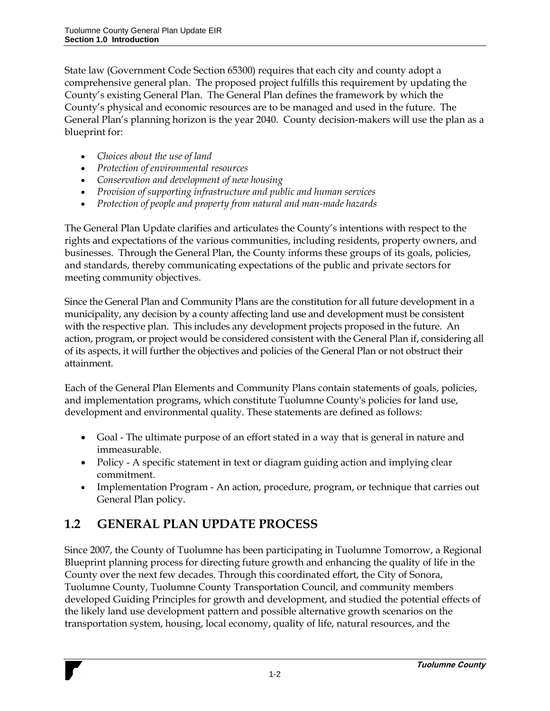State law (Government Code Section 65300) requires that each city and county adopt a comprehensive general plan. The proposed project fulfills this requirement by updating the County's existing General Plan. The General Plan defines the framework by which the County's physical and economic resources are to be managed and used in the future. The General Plan's planning horizon is the year 2040. County decision-makers will use the plan as a blueprint for:

- *Choices about the use of land*
- *Protection of environmental resources*
- *Conservation and development of new housing*
- *Provision of supporting infrastructure and public and human services*
- *Protection of people and property from natural and man-made hazards*

The General Plan Update clarifies and articulates the County's intentions with respect to the rights and expectations of the various communities, including residents, property owners, and businesses. Through the General Plan, the County informs these groups of its goals, policies, and standards, thereby communicating expectations of the public and private sectors for meeting community objectives.

Since the General Plan and Community Plans are the constitution for all future development in a municipality, any decision by a county affecting land use and development must be consistent with the respective plan. This includes any development projects proposed in the future. An action, program, or project would be considered consistent with the General Plan if, considering all of its aspects, it will further the objectives and policies of the General Plan or not obstruct their attainment.

Each of the General Plan Elements and Community Plans contain statements of goals, policies, and implementation programs, which constitute Tuolumne County's policies for land use, development and environmental quality. These statements are defined as follows:

- Goal The ultimate purpose of an effort stated in a way that is general in nature and immeasurable.
- Policy A specific statement in text or diagram guiding action and implying clear commitment.
- Implementation Program An action, procedure, program, or technique that carries out General Plan policy.

# **1.2 GENERAL PLAN UPDATE PROCESS**

Since 2007, the County of Tuolumne has been participating in Tuolumne Tomorrow, a Regional Blueprint planning process for directing future growth and enhancing the quality of life in the County over the next few decades. Through this coordinated effort, the City of Sonora, Tuolumne County, Tuolumne County Transportation Council, and community members developed Guiding Principles for growth and development, and studied the potential effects of the likely land use development pattern and possible alternative growth scenarios on the transportation system, housing, local economy, quality of life, natural resources, and the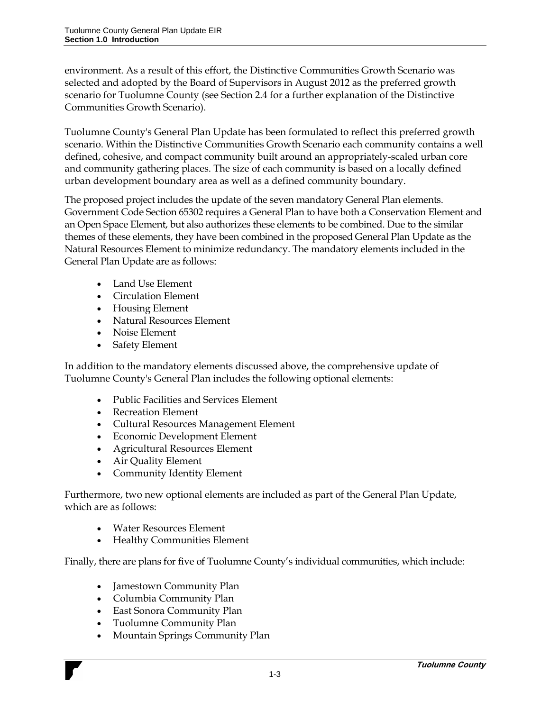environment. As a result of this effort, the Distinctive Communities Growth Scenario was selected and adopted by the Board of Supervisors in August 2012 as the preferred growth scenario for Tuolumne County (see Section 2.4 for a further explanation of the Distinctive Communities Growth Scenario).

Tuolumne County's General Plan Update has been formulated to reflect this preferred growth scenario. Within the Distinctive Communities Growth Scenario each community contains a well defined, cohesive, and compact community built around an appropriately-scaled urban core and community gathering places. The size of each community is based on a locally defined urban development boundary area as well as a defined community boundary.

The proposed project includes the update of the seven mandatory General Plan elements. Government Code Section 65302 requires a General Plan to have both a Conservation Element and an Open Space Element, but also authorizes these elements to be combined. Due to the similar themes of these elements, they have been combined in the proposed General Plan Update as the Natural Resources Element to minimize redundancy. The mandatory elements included in the General Plan Update are as follows:

- Land Use Element
- Circulation Element
- Housing Element
- Natural Resources Element
- Noise Element
- Safety Element

In addition to the mandatory elements discussed above, the comprehensive update of Tuolumne County's General Plan includes the following optional elements:

- Public Facilities and Services Element
- Recreation Element
- Cultural Resources Management Element
- Economic Development Element
- Agricultural Resources Element
- Air Quality Element
- Community Identity Element

Furthermore, two new optional elements are included as part of the General Plan Update, which are as follows:

- Water Resources Element
- Healthy Communities Element

Finally, there are plans for five of Tuolumne County's individual communities, which include:

- Jamestown Community Plan
- Columbia Community Plan
- East Sonora Community Plan
- Tuolumne Community Plan
- Mountain Springs Community Plan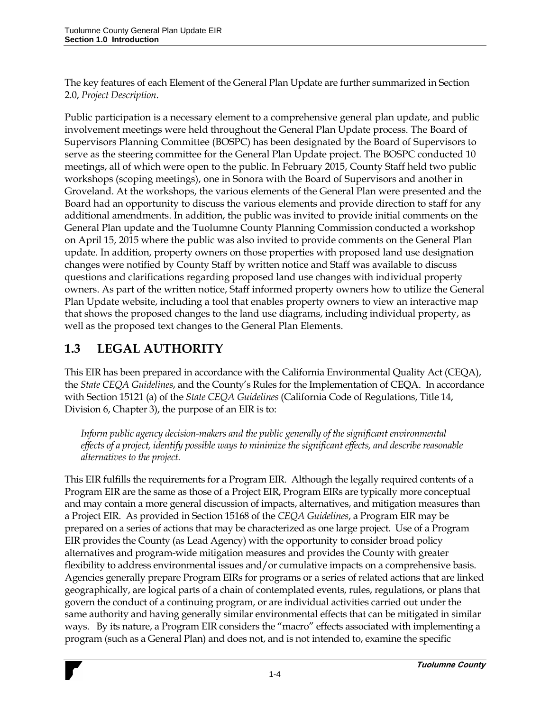The key features of each Element of the General Plan Update are further summarized in Section 2.0, *Project Description*.

Public participation is a necessary element to a comprehensive general plan update, and public involvement meetings were held throughout the General Plan Update process. The Board of Supervisors Planning Committee (BOSPC) has been designated by the Board of Supervisors to serve as the steering committee for the General Plan Update project. The BOSPC conducted 10 meetings, all of which were open to the public. In February 2015, County Staff held two public workshops (scoping meetings), one in Sonora with the Board of Supervisors and another in Groveland. At the workshops, the various elements of the General Plan were presented and the Board had an opportunity to discuss the various elements and provide direction to staff for any additional amendments. In addition, the public was invited to provide initial comments on the General Plan update and the Tuolumne County Planning Commission conducted a workshop on April 15, 2015 where the public was also invited to provide comments on the General Plan update. In addition, property owners on those properties with proposed land use designation changes were notified by County Staff by written notice and Staff was available to discuss questions and clarifications regarding proposed land use changes with individual property owners. As part of the written notice, Staff informed property owners how to utilize the General Plan Update website, including a tool that enables property owners to view an interactive map that shows the proposed changes to the land use diagrams, including individual property, as well as the proposed text changes to the General Plan Elements.

## **1.3 LEGAL AUTHORITY**

This EIR has been prepared in accordance with the California Environmental Quality Act (CEQA), the *State CEQA Guidelines*, and the County's Rules for the Implementation of CEQA. In accordance with Section 15121 (a) of the *State CEQA Guidelines* (California Code of Regulations, Title 14, Division 6, Chapter 3), the purpose of an EIR is to:

*Inform public agency decision-makers and the public generally of the significant environmental effects of a project, identify possible ways to minimize the significant effects, and describe reasonable alternatives to the project.*

This EIR fulfills the requirements for a Program EIR. Although the legally required contents of a Program EIR are the same as those of a Project EIR, Program EIRs are typically more conceptual and may contain a more general discussion of impacts, alternatives, and mitigation measures than a Project EIR. As provided in Section 15168 of the *CEQA Guidelines*, a Program EIR may be prepared on a series of actions that may be characterized as one large project. Use of a Program EIR provides the County (as Lead Agency) with the opportunity to consider broad policy alternatives and program-wide mitigation measures and provides the County with greater flexibility to address environmental issues and/or cumulative impacts on a comprehensive basis. Agencies generally prepare Program EIRs for programs or a series of related actions that are linked geographically, are logical parts of a chain of contemplated events, rules, regulations, or plans that govern the conduct of a continuing program, or are individual activities carried out under the same authority and having generally similar environmental effects that can be mitigated in similar ways. By its nature, a Program EIR considers the "macro" effects associated with implementing a program (such as a General Plan) and does not, and is not intended to, examine the specific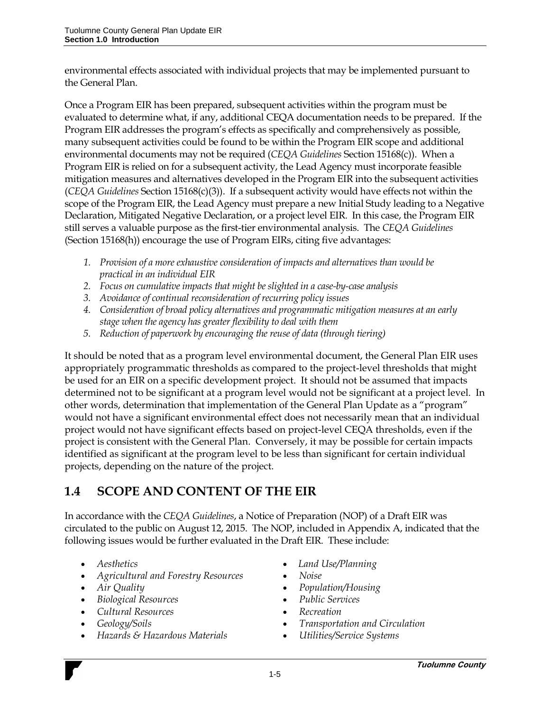environmental effects associated with individual projects that may be implemented pursuant to the General Plan.

Once a Program EIR has been prepared, subsequent activities within the program must be evaluated to determine what, if any, additional CEQA documentation needs to be prepared. If the Program EIR addresses the program's effects as specifically and comprehensively as possible, many subsequent activities could be found to be within the Program EIR scope and additional environmental documents may not be required (*CEQA Guidelines* Section 15168(c)). When a Program EIR is relied on for a subsequent activity, the Lead Agency must incorporate feasible mitigation measures and alternatives developed in the Program EIR into the subsequent activities (*CEQA Guidelines* Section 15168(c)(3)). If a subsequent activity would have effects not within the scope of the Program EIR, the Lead Agency must prepare a new Initial Study leading to a Negative Declaration, Mitigated Negative Declaration, or a project level EIR. In this case, the Program EIR still serves a valuable purpose as the first-tier environmental analysis. The *CEQA Guidelines* (Section 15168(h)) encourage the use of Program EIRs, citing five advantages:

- *1. Provision of a more exhaustive consideration of impacts and alternatives than would be practical in an individual EIR*
- *2. Focus on cumulative impacts that might be slighted in a case-by-case analysis*
- *3. Avoidance of continual reconsideration of recurring policy issues*
- *4. Consideration of broad policy alternatives and programmatic mitigation measures at an early stage when the agency has greater flexibility to deal with them*
- *5. Reduction of paperwork by encouraging the reuse of data (through tiering)*

It should be noted that as a program level environmental document, the General Plan EIR uses appropriately programmatic thresholds as compared to the project-level thresholds that might be used for an EIR on a specific development project. It should not be assumed that impacts determined not to be significant at a program level would not be significant at a project level. In other words, determination that implementation of the General Plan Update as a "program" would not have a significant environmental effect does not necessarily mean that an individual project would not have significant effects based on project-level CEQA thresholds, even if the project is consistent with the General Plan. Conversely, it may be possible for certain impacts identified as significant at the program level to be less than significant for certain individual projects, depending on the nature of the project.

#### **1.4 SCOPE AND CONTENT OF THE EIR**

In accordance with the *CEQA Guidelines*, a Notice of Preparation (NOP) of a Draft EIR was circulated to the public on August 12, 2015. The NOP, included in Appendix A, indicated that the following issues would be further evaluated in the Draft EIR. These include:

- 
- *Agricultural and Forestry Resources Noise*
- 
- *Biological Resources Public Services*
- Cultural Resources **•** *Recreation*
- 
- *Hazards & Hazardous Materials Utilities/Service Systems*
- *Aesthetics Land Use/Planning*
	-
- Air Quality *Population/Housing* 
	-
	-
- *Geology/Soils Transportation and Circulation*
	-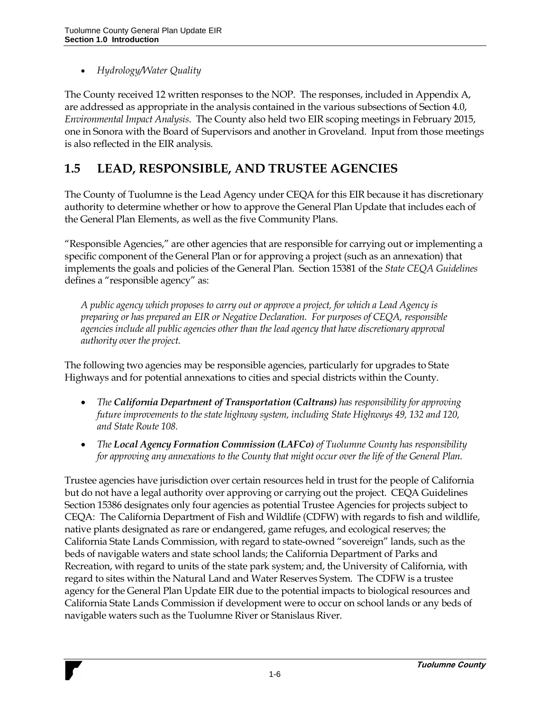*Hydrology/Water Quality*

The County received 12 written responses to the NOP. The responses, included in Appendix A, are addressed as appropriate in the analysis contained in the various subsections of Section 4.0, *Environmental Impact Analysis*. The County also held two EIR scoping meetings in February 2015, one in Sonora with the Board of Supervisors and another in Groveland. Input from those meetings is also reflected in the EIR analysis.

#### **1.5 LEAD, RESPONSIBLE, AND TRUSTEE AGENCIES**

The County of Tuolumne is the Lead Agency under CEQA for this EIR because it has discretionary authority to determine whether or how to approve the General Plan Update that includes each of the General Plan Elements, as well as the five Community Plans.

"Responsible Agencies," are other agencies that are responsible for carrying out or implementing a specific component of the General Plan or for approving a project (such as an annexation) that implements the goals and policies of the General Plan. Section 15381 of the *State CEQA Guidelines* defines a "responsible agency" as:

*A public agency which proposes to carry out or approve a project, for which a Lead Agency is preparing or has prepared an EIR or Negative Declaration. For purposes of CEQA, responsible agencies include all public agencies other than the lead agency that have discretionary approval authority over the project.* 

The following two agencies may be responsible agencies, particularly for upgrades to State Highways and for potential annexations to cities and special districts within the County.

- *The California Department of Transportation (Caltrans) has responsibility for approving future improvements to the state highway system, including State Highways 49, 132 and 120, and State Route 108.*
- *The Local Agency Formation Commission (LAFCo) of Tuolumne County has responsibility for approving any annexations to the County that might occur over the life of the General Plan.*

Trustee agencies have jurisdiction over certain resources held in trust for the people of California but do not have a legal authority over approving or carrying out the project. CEQA Guidelines Section 15386 designates only four agencies as potential Trustee Agencies for projects subject to CEQA: The California Department of Fish and Wildlife (CDFW) with regards to fish and wildlife, native plants designated as rare or endangered, game refuges, and ecological reserves; the California State Lands Commission, with regard to state-owned "sovereign" lands, such as the beds of navigable waters and state school lands; the California Department of Parks and Recreation, with regard to units of the state park system; and, the University of California, with regard to sites within the Natural Land and Water Reserves System. The CDFW is a trustee agency for the General Plan Update EIR due to the potential impacts to biological resources and California State Lands Commission if development were to occur on school lands or any beds of navigable waters such as the Tuolumne River or Stanislaus River.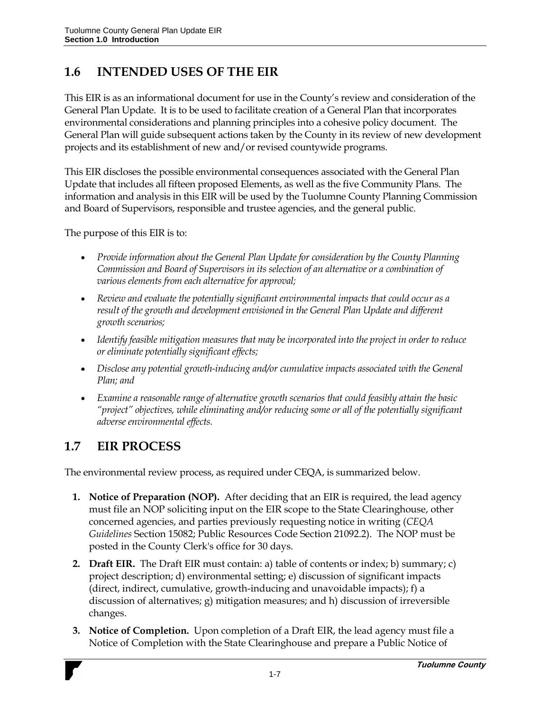#### **1.6 INTENDED USES OF THE EIR**

This EIR is as an informational document for use in the County's review and consideration of the General Plan Update. It is to be used to facilitate creation of a General Plan that incorporates environmental considerations and planning principles into a cohesive policy document. The General Plan will guide subsequent actions taken by the County in its review of new development projects and its establishment of new and/or revised countywide programs.

This EIR discloses the possible environmental consequences associated with the General Plan Update that includes all fifteen proposed Elements, as well as the five Community Plans. The information and analysis in this EIR will be used by the Tuolumne County Planning Commission and Board of Supervisors, responsible and trustee agencies, and the general public.

The purpose of this EIR is to:

- *Provide information about the General Plan Update for consideration by the County Planning Commission and Board of Supervisors in its selection of an alternative or a combination of various elements from each alternative for approval;*
- *Review and evaluate the potentially significant environmental impacts that could occur as a result of the growth and development envisioned in the General Plan Update and different growth scenarios;*
- *Identify feasible mitigation measures that may be incorporated into the project in order to reduce or eliminate potentially significant effects;*
- Disclose any potential growth-inducing and/or cumulative impacts associated with the General *Plan; and*
- *Examine a reasonable range of alternative growth scenarios that could feasibly attain the basic "project" objectives, while eliminating and/or reducing some or all of the potentially significant adverse environmental effects.*

#### **1.7 EIR PROCESS**

The environmental review process, as required under CEQA, is summarized below.

- **1. Notice of Preparation (NOP).** After deciding that an EIR is required, the lead agency must file an NOP soliciting input on the EIR scope to the State Clearinghouse, other concerned agencies, and parties previously requesting notice in writing (*CEQA Guidelines* Section 15082; Public Resources Code Section 21092.2). The NOP must be posted in the County Clerk's office for 30 days.
- **2. Draft EIR.** The Draft EIR must contain: a) table of contents or index; b) summary; c) project description; d) environmental setting; e) discussion of significant impacts (direct, indirect, cumulative, growth-inducing and unavoidable impacts); f) a discussion of alternatives; g) mitigation measures; and h) discussion of irreversible changes.
- **3. Notice of Completion.** Upon completion of a Draft EIR, the lead agency must file a Notice of Completion with the State Clearinghouse and prepare a Public Notice of